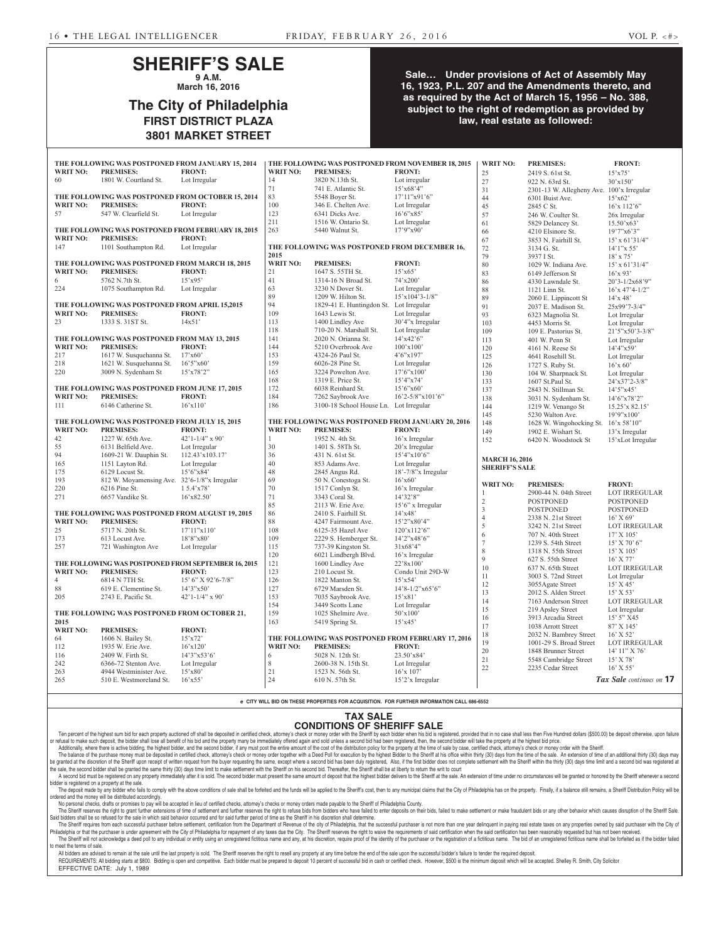#### **SHERIFF'S SALE 9 A.M.**

**March 16, 2016**

## **The City of Philadelphia FIRST DISTRICT PLAZA 3801 MARKET STREET**

#### **Sale… Under provisions of Act of Assembly May 16, 1923, P.L. 207 and the Amendments thereto, and as required by the Act of March 15, 1956 – No. 388, subject to the right of redemption as provided by law, real estate as followed:**

|                 | THE FOLLOWING WAS POSTPONED FROM JANUARY 15, 2014   |                                  |                 | THE FOLLOWING WAS POSTPONED FROM NOVEMBER 18, 2015 |                                  | <b>WRIT NO:</b>       | <b>PREMISES:</b>                               | <b>FRONT:</b>                           |
|-----------------|-----------------------------------------------------|----------------------------------|-----------------|----------------------------------------------------|----------------------------------|-----------------------|------------------------------------------------|-----------------------------------------|
| <b>WRIT NO:</b> | <b>PREMISES:</b>                                    | <b>FRONT:</b>                    | <b>WRIT NO:</b> | <b>PREMISES:</b>                                   | <b>FRONT:</b>                    | 25                    | 2419 S. 61st St.                               | $15'$ x75'                              |
| 60              | 1801 W. Courtland St.                               | Lot Irregular                    | 14              | 3820 N.13th St.                                    | Lot irregular                    | 27                    | 922 N. 63rd St.                                | 30'x150'                                |
|                 |                                                     |                                  | 71              | 741 E. Atlantic St.                                | 15'x68'4"                        | 31                    | 2301-13 W. Allegheny Ave. 100'x Irregular      |                                         |
|                 | THE FOLLOWING WAS POSTPONED FROM OCTOBER 15, 2014   |                                  | 83              | 5548 Boyer St.                                     | 17'11''x91'6"                    | 44                    | 6301 Buist Ave.                                | 15'x62'                                 |
| <b>WRIT NO:</b> | <b>PREMISES:</b>                                    | <b>FRONT:</b>                    | 100             | 346 E. Chelten Ave.                                | Lot Irregular                    | 45                    | 2845 C St.                                     | $16'x$ 112'6"                           |
| 57              | 547 W. Clearfield St.                               | Lot Irregular                    | 123             | 6341 Dicks Ave.                                    | 16'6''x85'                       | 57                    | 246 W. Coulter St.                             | 26x Irregular                           |
|                 |                                                     |                                  | 211             | 1516 W. Ontario St.                                | Lot Irregular                    | 61                    | 5829 Delancey St.                              | $15.50'$ x63'                           |
|                 | THE FOLLOWING WAS POSTPONED FROM FEBRUARY 18, 2015  |                                  | 263             | 5440 Walnut St.                                    | 17'9''x90'                       | 66                    | 4210 Elsinore St.                              | 19'7''x6'3''                            |
| <b>WRIT NO:</b> | <b>PREMISES:</b>                                    | <b>FRONT:</b>                    |                 |                                                    |                                  | 67                    | 3853 N. Fairhill St.                           | $15'$ x 61'31/4"                        |
| 147             | 1101 Southampton Rd.                                | Lot Irregular                    |                 | THE FOLLOWING WAS POSTPONED FROM DECEMBER 16,      |                                  | 72                    | 3134 G. St.                                    | $14'1''$ x 55'                          |
|                 |                                                     |                                  | 2015            |                                                    |                                  | 79                    | 3937 I St.                                     | $18'$ x 75'                             |
|                 | THE FOLLOWING WAS POSTPONED FROM MARCH 18, 2015     |                                  | <b>WRIT NO:</b> | <b>PREMISES:</b>                                   | <b>FRONT:</b>                    | 80                    | 1029 W. Indiana Ave.                           | $15'$ x 61'31/4"                        |
| <b>WRIT NO:</b> | <b>PREMISES:</b>                                    | <b>FRONT:</b>                    | 21              | 1647 S. 55TH St.                                   | 15'x65'                          | 83                    | 6149 Jefferson St                              | $16'$ x 93'                             |
| 6               | 5762 N.7th St.                                      | $15'$ x95'                       | 41              | 1314-16 N Broad St.                                | 74'x200'                         | 86                    | 4330 Lawndale St.                              | 20'3-1/2x68'9"                          |
| 224             | 1075 Southampton Rd.                                | Lot Irregular                    | 63              | 3230 N Dover St.                                   | Lot Irregular                    | 88                    | 1121 Linn St.                                  | $16'x 47'4-1/2"$                        |
|                 |                                                     |                                  | 89              | 1209 W. Hilton St.                                 | $15'x104'3-1/8"$                 | 89                    | 2060 E. Lippincott St                          | 14'x 48'                                |
|                 | THE FOLLOWING WAS POSTPONED FROM APRIL 15,2015      |                                  | 94              | 1829-41 E. Huntingdon St. Lot Irregular            |                                  | 91                    | 2037 E. Madison St.                            | 25x99'7-3/4"                            |
| <b>WRIT NO:</b> | <b>PREMISES:</b>                                    | <b>FRONT:</b>                    | 109             | 1643 Lewis St.                                     | Lot Irregular                    | 93                    | 6323 Magnolia St.                              | Lot Irregular                           |
| 23              | 1333 S. 31ST St.                                    | 14x51'                           | 113             | 1400 Lindley Ave                                   | 30'4"x Irregular                 | 103                   | 4453 Morris St.                                | Lot Irregular                           |
|                 |                                                     |                                  | 118             | 710-20 N. Marshall St.                             | Lot Irregular                    | 109                   | 109 E. Pastorius St.                           | $21'5''x50'3-3/8"$                      |
|                 | THE FOLLOWING WAS POSTPONED FROM MAY 13, 2015       |                                  | 141             | 2020 N. Orianna St.                                | $14'$ x $42'6"$                  | 113                   | 401 W. Penn St                                 | Lot Irregular                           |
| <b>WRIT NO:</b> | <b>PREMISES:</b>                                    | <b>FRONT:</b>                    | 144             | 5210 Overbrook Ave                                 | 100'x100'                        | 120                   | $4161$ N. Reese St                             | 14'4''x59'                              |
| 217             | 1617 W. Susquehanna St.                             | 17'x60'                          | 153             | 4324-26 Paul St.                                   | 4'6''x197'                       | 125                   | 4641 Rosehill St.                              | Lot Irregular                           |
| 218             | 1621 W. Susquehanna St.                             | 16'5''x60'                       | 159             | 6026-28 Pine St.                                   | Lot Irregular                    | 126                   | 1727 S. Ruby St.                               | $16'$ x 60'                             |
| 220             | 3009 N. Sydenham St                                 | 15'x78'2"                        | 165             | 3224 Powelton Ave.                                 | 17'6''x100'                      | 130                   | 104 W. Sharpnack St.                           | Lot Irregular                           |
|                 |                                                     |                                  | 168             | 1319 E. Price St.                                  | 15'4''x74'                       | 133                   | 1607 St.Paul St.                               | 24'x37'2-3/8"                           |
|                 | THE FOLLOWING WAS POSTPONED FROM JUNE 17, 2015      |                                  | 172             | 6038 Reinhard St.                                  | $15^{\circ}6^{\circ}x60^{\circ}$ | 137                   | 2843 N. Stillman St.                           | 14'5''x45'                              |
| <b>WRIT NO:</b> | <b>PREMISES:</b>                                    | <b>FRONT:</b>                    | 184             | 7262 Saybrook Ave                                  | $16'2 - 5/8''x101'6''$           | 138                   | 3031 N. Sydenham St.                           | 14'6"x78'2"                             |
| 111             | 6146 Catherine St.                                  | 16'x110'                         | 186             | 3100-18 School House Ln. Lot Irregular             |                                  | 144                   | 1219 W. Venango St                             | 15.25'x 82.15'                          |
|                 |                                                     |                                  |                 |                                                    |                                  | 145                   | 5230 Walton Ave.                               | 19'9''x100'                             |
|                 |                                                     |                                  |                 |                                                    |                                  |                       |                                                |                                         |
|                 | THE FOLLOWING WAS POSTPONED FROM JULY 15, 2015      |                                  |                 | THE FOLLOWING WAS POSTPONED FROM JANUARY 20, 2016  |                                  | 148                   | 1628 W. Wingohocking St. $16x$ 58'10"          |                                         |
| <b>WRIT NO:</b> | <b>PREMISES:</b>                                    | <b>FRONT:</b>                    | <b>WRIT NO:</b> | <b>PREMISES:</b>                                   | <b>FRONT:</b>                    | 149                   | 1902 E. Wishart St.                            | 13'x Irregular                          |
| 42              | 1227 W. 65th Ave.                                   | $42'1 - 1/4''$ x 90'             | $\mathbf{1}$    | 1952 N. 4th St.                                    | $16'x$ Irregular                 | 152                   | 6420 N. Woodstock St                           | 15'xLot Irregular                       |
| 55              | 6131 Belfield Ave.                                  | Lot Irregular                    | $30\,$          | 1401 S. 58Th St.                                   | 20'x Irregular                   |                       |                                                |                                         |
| 94              | 1609-21 W. Dauphin St.                              | 112.43'x103.17'                  | 36              | 431 N. 61st St.                                    | 15'4''x10'6''                    |                       |                                                |                                         |
| 165             | 1151 Layton Rd.                                     | Lot Irregular                    | 40              | 853 Adams Ave.                                     | Lot Irregular                    | <b>MARCH 16, 2016</b> |                                                |                                         |
| 175             | 6129 Locust St.                                     | $15^{\circ}6^{\circ}x84^{\circ}$ | 48              | 2845 Angus Rd.                                     | 18'-7/8"x Irregular              | <b>SHERIFF'S SALE</b> |                                                |                                         |
| 193             | 812 W. Moyamensing Ave. 32'6-1/8"x Irregular        |                                  | 69              | 50 N. Conestoga St.                                | $16'$ x60'                       |                       |                                                |                                         |
| 220             | 6216 Pine St.                                       | $15.4'$ x78'                     | $70\,$          | 1517 Conlyn St.                                    | 16'x Irregular                   | <b>WRIT NO:</b>       | <b>PREMISES:</b>                               | <b>FRONT:</b>                           |
| 271             | 6657 Vandike St.                                    | $16'$ x82.50'                    | 71              | 3343 Coral St.                                     | 14'32'8"                         |                       | 2900-44 N. 04th Street                         | <b>LOT IRREGULAR</b>                    |
|                 |                                                     |                                  | 85              | 2113 W. Erie Ave.                                  | $15'6''$ x Irregular             | $\sqrt{2}$            | <b>POSTPONED</b>                               | <b>POSTPONED</b>                        |
|                 | THE FOLLOWING WAS POSTPONED FROM AUGUST 19, 2015    |                                  | 86              | 2410 S. Fairhill St.                               | 14'x48'                          | $\mathfrak{Z}$        | <b>POSTPONED</b>                               | <b>POSTPONED</b>                        |
| <b>WRIT NO:</b> | <b>PREMISES:</b>                                    | <b>FRONT:</b>                    | $88\,$          | 4247 Fairmount Ave.                                | 15'2"x80'4"                      | $\overline{4}$        | 2338 N. 21st Street                            | $16'$ X 69'                             |
| 25              | 5717 N. 20th St.                                    | 17'11''x110'                     | 108             | 6125-35 Hazel Ave                                  | 120'x112'6"                      | 5                     | 3242 N. 21st Street                            | <b>LOT IRREGULAR</b>                    |
| 173             | 613 Locust Ave.                                     | 18'8"x80'                        | 109             | 2229 S. Hemberger St.                              | 14'2"x48'6"                      | 6                     | 707 N. 40th Street                             | 17' X 105'                              |
| 257             | 721 Washington Ave                                  | Lot Irregular                    | 115             | 737-39 Kingston St.                                | 31x68'4"                         |                       | 1239 S. 54th Street                            | $15'$ X 70' 6"                          |
|                 |                                                     |                                  | 120             | 6021 Lindbergh Blvd.                               | $16'x$ Irregular                 | $\,8\,$               | 1318 N. 55th Street                            | 15' X 105'                              |
|                 | THE FOLLOWING WAS POSTPONED FROM SEPTEMBER 16, 2015 |                                  | 121             | 1600 Lindley Ave                                   | 22'8x100'                        | 9                     | 627 S. 55th Street                             | 16' X 77'                               |
| <b>WRIT NO:</b> | <b>PREMISES:</b>                                    | <b>FRONT:</b>                    | 123             | 210 Locust St.                                     | Condo Unit 29D-W                 | 10                    | 637 N. 65th Street                             | LOT IRREGULAR                           |
| $\overline{4}$  | 6814 N 7TH St.                                      | $15'$ 6" X 92'6-7/8"             | 126             | 1822 Manton St.                                    | 15'x54'                          | 11                    | 3003 S. 72nd Street                            | Lot Irregular                           |
| 88              | 619 E. Clementine St.                               | 14'3"x50'                        | 127             | 6729 Marsden St.                                   | $14'8 - 1/2''x65'6''$            | 12                    | 3055Agate Street                               | 15' X 45'                               |
| 205             | 2743 E. Pacific St.                                 | $42'1 - 1/4''$ x 90'             | 153             | 7035 Saybrook Ave.                                 | $15'$ x81'                       | 13                    | 2012 S. Alden Street                           | 15' X 53'                               |
|                 |                                                     |                                  | 154             | 3449 Scotts Lane                                   | Lot Irregular                    | 14                    | 7163 Anderson Street                           | LOT IRREGULAR                           |
|                 | THE FOLLOWING WAS POSTPONED FROM OCTOBER 21,        |                                  | 159             | 1025 Shelmire Ave.                                 | 50'x100'                         | 15                    | 219 Apsley Street<br>3913 Arcadia Street       | Lot Irregular                           |
| 2015            |                                                     |                                  | 163             | 5419 Spring St.                                    | 15'x45'                          | 16                    |                                                | 15' 5" X45                              |
| <b>WRIT NO:</b> | <b>PREMISES:</b>                                    | <b>FRONT:</b>                    |                 |                                                    |                                  | 17                    | 1038 Arrott Street                             | 87' X 145'                              |
| 64              | 1606 N. Bailey St.                                  | $15'$ x72'                       |                 | THE FOLLOWING WAS POSTPONED FROM FEBRUARY 17, 2016 |                                  | 18                    | 2032 N. Bambrey Street                         | 16' X 52'                               |
| 112             | 1935 W. Erie Ave.                                   | 16'x120'                         | <b>WRIT NO:</b> | <b>PREMISES:</b>                                   | <b>FRONT:</b>                    | 19                    | 1001-29 S. Broad Street<br>1848 Brunner Street | LOT IRREGULAR                           |
| 116             | 2409 W. Firth St.                                   | 14'3''x53'6'                     | 6               | 5028 N. 12th St.                                   | 23.50'x84'                       | 20                    |                                                | 14' 11" X 76'                           |
| 242             | 6366-72 Stenton Ave.                                | Lot Irregular                    | 8               | 2600-38 N. 15th St.                                | Lot Irregular                    | $21\,$                | 5548 Cambridge Street                          | 15' X 78'                               |
| 263<br>265      | 4944 Westminister Ave.<br>510 E. Westmoreland St.   | $15'$ x80'<br>$16'$ x 55'        | 21<br>24        | 1523 N. 56th St.<br>610 N. 57th St.                | 16'x 107'<br>15'2'x Irregular    | 22                    | 2235 Cedar Street                              | $16'$ X 55'<br>Tax Sale continues on 17 |

**e CITY WILL BID ON THESE PROPERTIES FOR ACQUISITION. FOR FURTHER INFORMATION CALL 686-6552**

#### **TAX SALE CONDITIONS OF SHERIFF SALE**

Ten percent of the highest sum bid for each property auctioned off shall be deposited in certified check, attorney's check or money order with the Sheriff by each bidder when his bid is registered, provided that in no case or refusal to make such deposit, the bidder shall lose all benefit of his bid and the property many be immediately offered again and sold unless a second bid had been registered, then, the second bidder will take the prope Additionally, where there is active bidding, the highest bidder, and the second bidder, if any must post the entire amount of the cost of the distribution policy for the property at the time of sale by case, certified chec

The balance of the purchase money must be deposited in certified check, attorney's check or money order together with a Deed Poll for execution by the highest Bidder to the Sheriff at his office within thirty (30) days fro be granted at the discretion of the Sheriff upon receipt of written request from the buyer requesting the same, except where a second bid has been duly registered. Also, if the first bidder does not complete settlement wit the sale, the second bidder shall be granted the same thirty (30) days time limit to make settlement with the Sheriff on his second bid. Thereafter, the Sheriff shall be at liberty to return the writ to court

A second bid must be registered on any property immediately after it is sold. The second bidder must present the same amount of deposit that the highest bidder delivers to the Sheriff at the sale. An extension of time unde er is registered on a property at the sale The deposit made by any bidder who fails to comply with the above conditions of sale shall be forfeited and the funds will be applied to the Sheriff's cost, then to any municipal claims that the City of Philadelphia has on

ordered and the money will be distributed accordingly. No personal checks, drafts or promises to pay will be accepted in lieu of certified checks, attorney's checks or money orders made payable to the Sheriff of Philadelphia County.

The Sheriff reserves the right to grant further extensions of time of settlement and further reserves the right to refuse bids from bidders who have failed to enter deposits on their bids, failed to make settlement or make Said bidders shall be so refused for the sale in which said behavior occurred and for said further period of time as the Sheriff in his discretion shall determine.

The Sheriff requires from each successful purchaser before settlement, certification from the Department of Revenue of the city of Philadelphia, that the successful purchaser is not more than one year delinquent in paying Philadelphia or that the purchaser is under agreement with the City of Philadelphia for repayment of any taxes due the City. The Sheriff reserves the right to waive the requirements of said certification when the said cert The Sheriff will not acknowledge a deed poll to any individual or entity using an unregistered fictitious name and any, at his discretion, require proof of the identity of the purchaser or the registration of a fictitious to meet the terms of sale.

All bidders are advised to remain at the sale until the last property is sold. The Sheriff reserves the right to resell any property at any time before the end of the sale upon the successful bidder's failure to tender the REQUIREMENTS: All bidding starts at \$800. Bidding is open and competitive. Each bidder must be prepared to deposit 10 percent of successful bid in cash or certified check. However, \$500 is the minimum deposit which will be

EFFECTIVE DATE: July 1, 1989